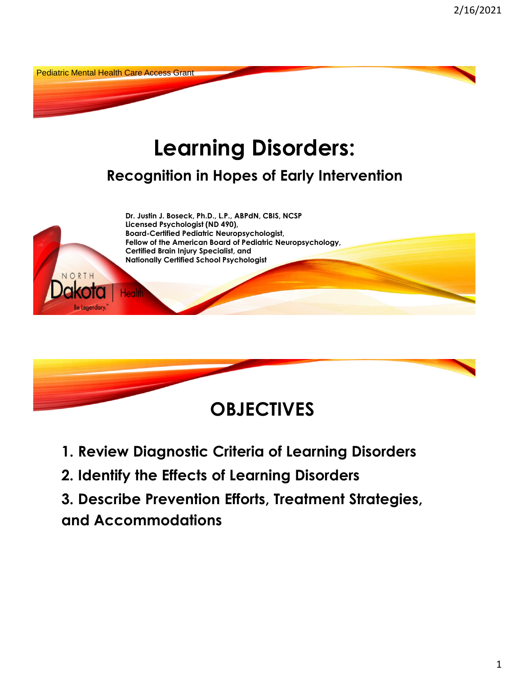



- **1. Review Diagnostic Criteria of Learning Disorders**
- **2. Identify the Effects of Learning Disorders**
- **3. Describe Prevention Efforts, Treatment Strategies,**
- **and Accommodations**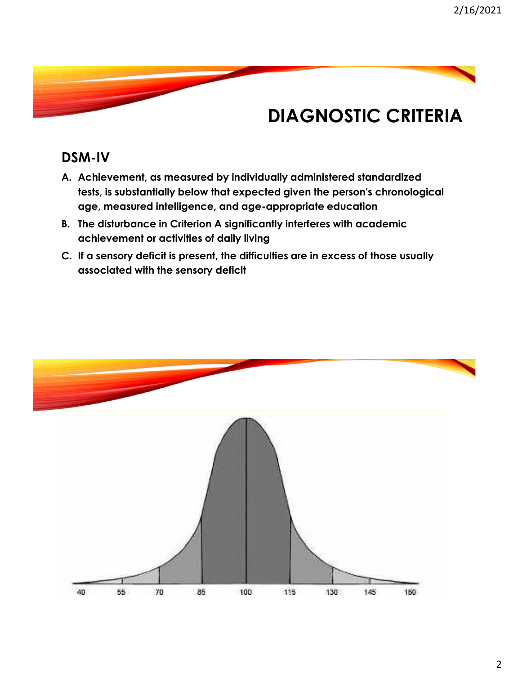### **DIAGNOSTIC CRITERIA**

#### **DSM-IV**

- **A. Achievement, as measured by individually administered standardized tests, is substantially below that expected given the person's chronological age, measured intelligence, and age-appropriate education**
- **B. The disturbance in Criterion A significantly interferes with academic achievement or activities of daily living**
- **C. If a sensory deficit is present, the difficulties are in excess of those usually associated with the sensory deficit**

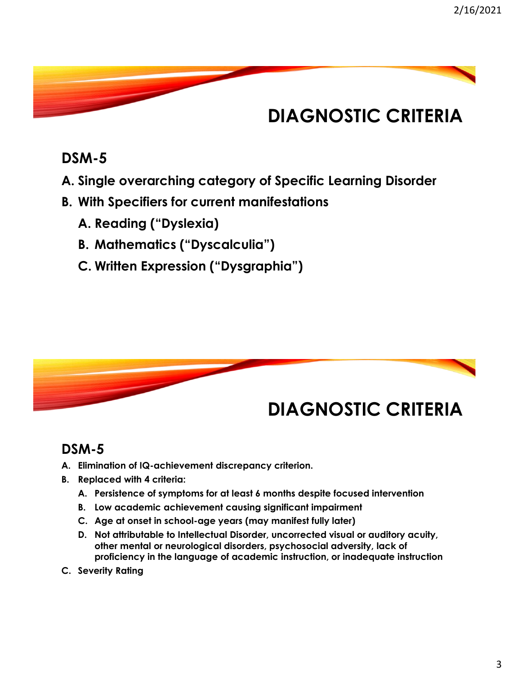# **DIAGNOSTIC CRITERIA**

#### **DSM-5**

- **A. Single overarching category of Specific Learning Disorder**
- **B. With Specifiers for current manifestations** 
	- **A. Reading ("Dyslexia)**
	- **B. Mathematics ("Dyscalculia")**
	- **C. Written Expression ("Dysgraphia")**



#### **DSM-5**

- **A. Elimination of IQ-achievement discrepancy criterion.**
- **B. Replaced with 4 criteria:** 
	- **A. Persistence of symptoms for at least 6 months despite focused intervention**
	- **B. Low academic achievement causing significant impairment**
	- **C. Age at onset in school-age years (may manifest fully later)**
	- **D. Not attributable to Intellectual Disorder, uncorrected visual or auditory acuity, other mental or neurological disorders, psychosocial adversity, lack of proficiency in the language of academic instruction, or inadequate instruction**
- **C. Severity Rating**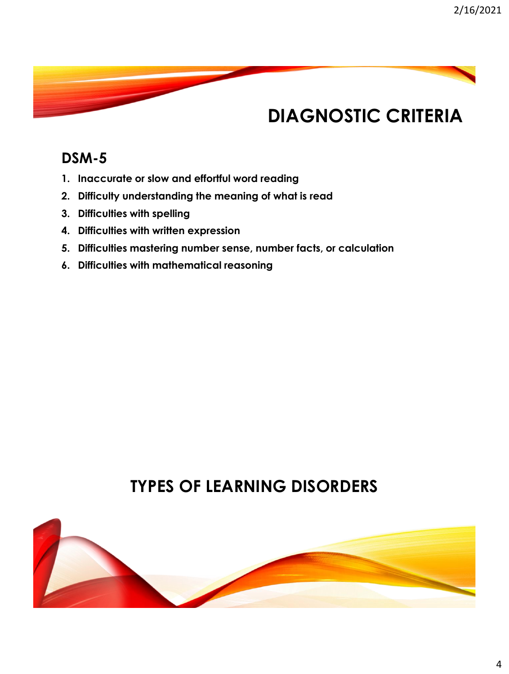### **DIAGNOSTIC CRITERIA**

#### **DSM-5**

- **1. Inaccurate or slow and effortful word reading**
- **2. Difficulty understanding the meaning of what is read**
- **3. Difficulties with spelling**
- **4. Difficulties with written expression**
- **5. Difficulties mastering number sense, number facts, or calculation**
- **6. Difficulties with mathematical reasoning**

#### **TYPES OF LEARNING DISORDERS**

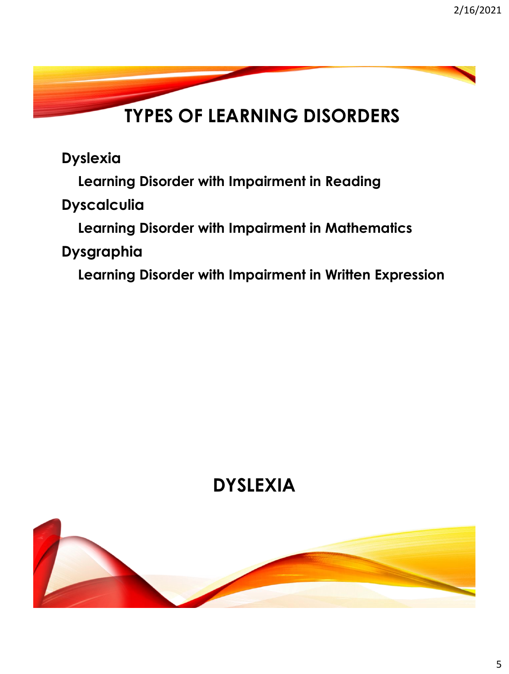# **TYPES OF LEARNING DISORDERS**

**Dyslexia**

**Learning Disorder with Impairment in Reading**

**Dyscalculia**

**Learning Disorder with Impairment in Mathematics**

**Dysgraphia** 

**Learning Disorder with Impairment in Written Expression**

# **DYSLEXIA**

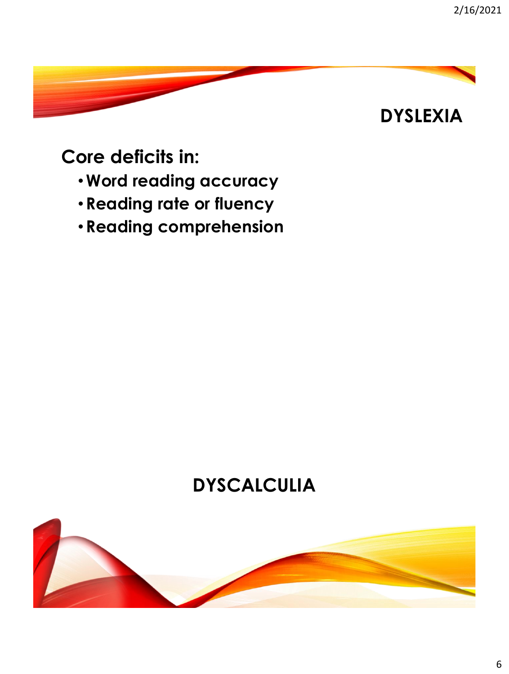### **DYSLEXIA**

**Core deficits in:**

- •**Word reading accuracy**
- **Reading rate or fluency**
- **Reading comprehension**

# **DYSCALCULIA**

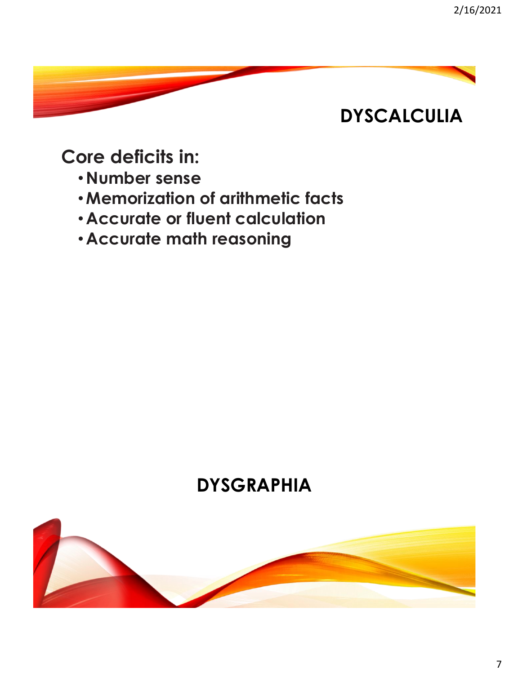# **DYSCALCULIA**

### **Core deficits in:**

- **Number sense**
- •**Memorization of arithmetic facts**
- **Accurate or fluent calculation**
- **Accurate math reasoning**

# **DYSGRAPHIA**

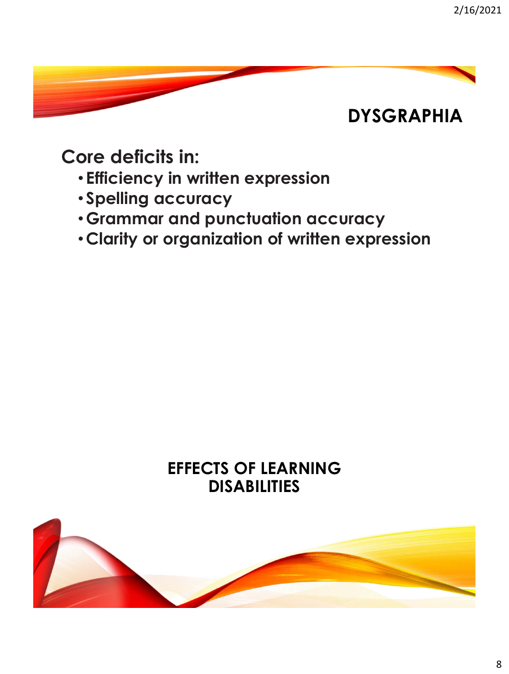### **DYSGRAPHIA**

**Core deficits in:**

- **Efficiency in written expression**
- **Spelling accuracy**
- **Grammar and punctuation accuracy**
- •**Clarity or organization of written expression**

#### **EFFECTS OF LEARNING DISABILITIES**

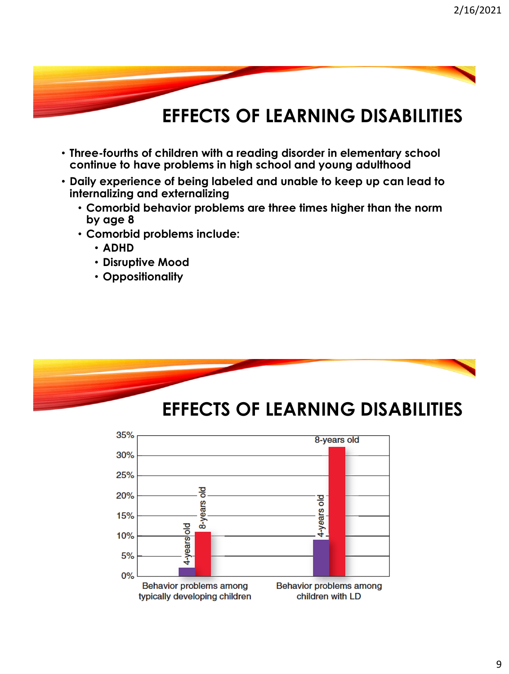### **EFFECTS OF LEARNING DISABILITIES**

- **Three-fourths of children with a reading disorder in elementary school continue to have problems in high school and young adulthood**
- **Daily experience of being labeled and unable to keep up can lead to internalizing and externalizing**
	- **Comorbid behavior problems are three times higher than the norm by age 8**
	- **Comorbid problems include:** 
		- **ADHD**
		- **Disruptive Mood**
		- **Oppositionality**



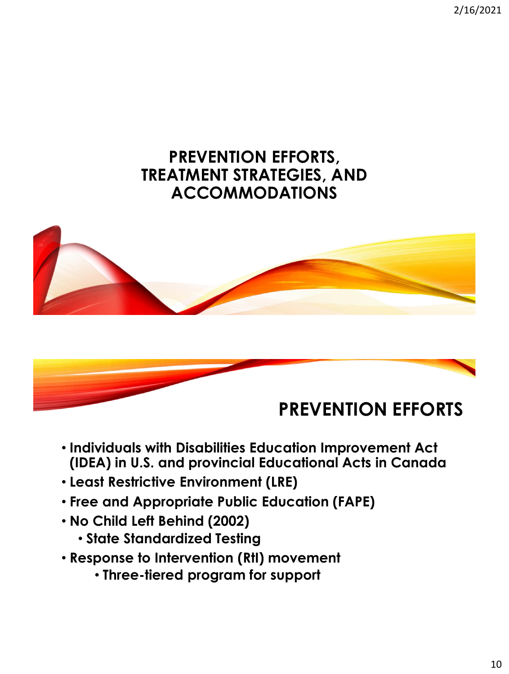2/16/2021

#### **PREVENTION EFFORTS, TREATMENT STRATEGIES, AND ACCOMMODATIONS**





- **Individuals with Disabilities Education Improvement Act (IDEA) in U.S. and provincial Educational Acts in Canada**
- **Least Restrictive Environment (LRE)**
- **Free and Appropriate Public Education (FAPE)**
- **No Child Left Behind (2002)**
	- **State Standardized Testing**
- **Response to Intervention (RtI) movement**
	- **Three-tiered program for support**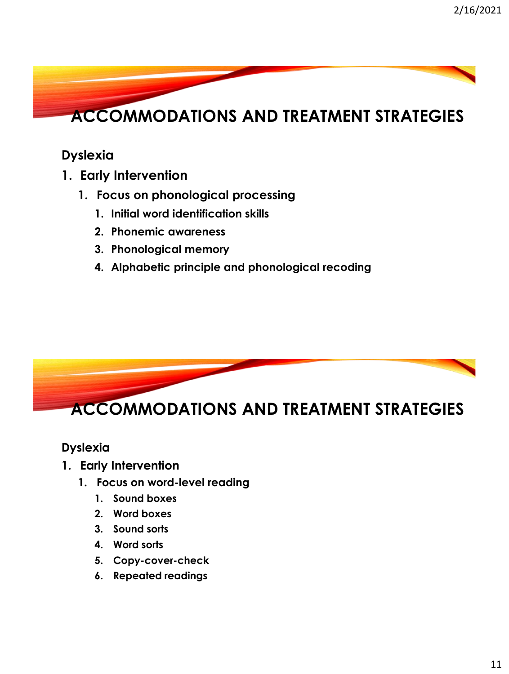

#### **Dyslexia**

- **1. Early Intervention**
	- **1. Focus on phonological processing**
		- **1. Initial word identification skills**
		- **2. Phonemic awareness**
		- **3. Phonological memory**
		- **4. Alphabetic principle and phonological recoding**



#### **Dyslexia**

- **1. Early Intervention**
	- **1. Focus on word-level reading**
		- **1. Sound boxes**
		- **2. Word boxes**
		- **3. Sound sorts**
		- **4. Word sorts**
		- **5. Copy-cover-check**
		- **6. Repeated readings**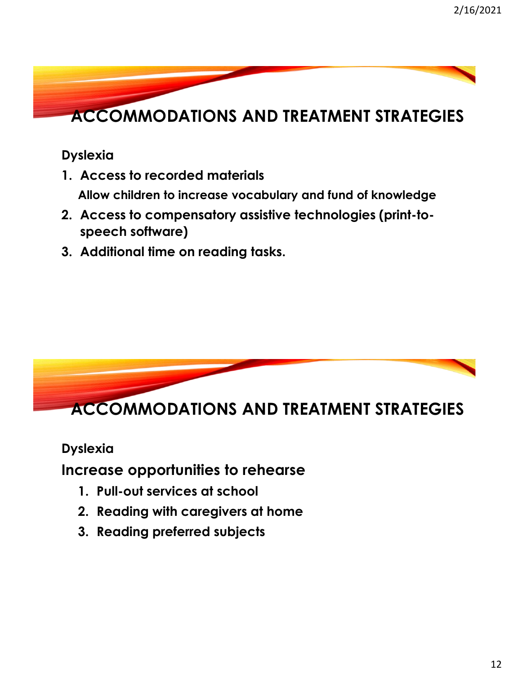

**Dyslexia**

- **1. Access to recorded materials Allow children to increase vocabulary and fund of knowledge**
- **2. Access to compensatory assistive technologies (print-tospeech software)**
- **3. Additional time on reading tasks.**



**Dyslexia**

**Increase opportunities to rehearse**

- **1. Pull-out services at school**
- **2. Reading with caregivers at home**
- **3. Reading preferred subjects**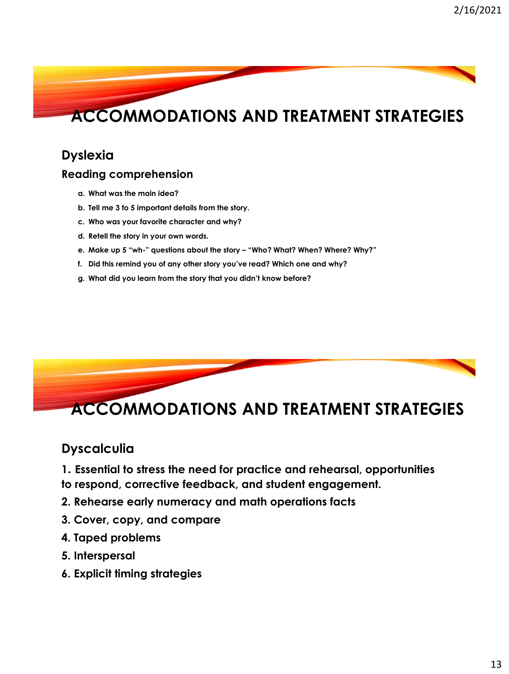# **ACCOMMODATIONS AND TREATMENT STRATEGIES**

#### **Dyslexia**

#### **Reading comprehension**

- **a. What was the main idea?**
- **b. Tell me 3 to 5 important details from the story.**
- **c. Who was your favorite character and why?**
- **d. Retell the story in your own words.**
- **e. Make up 5 "wh-" questions about the story – "Who? What? When? Where? Why?"**
- **f. Did this remind you of any other story you've read? Which one and why?**
- **g. What did you learn from the story that you didn't know before?**



### **ACCOMMODATIONS AND TREATMENT STRATEGIES**

#### **Dyscalculia**

- **1. Essential to stress the need for practice and rehearsal, opportunities to respond, corrective feedback, and student engagement.**
- **2. Rehearse early numeracy and math operations facts**
- **3. Cover, copy, and compare**
- **4. Taped problems**
- **5. Interspersal**
- **6. Explicit timing strategies**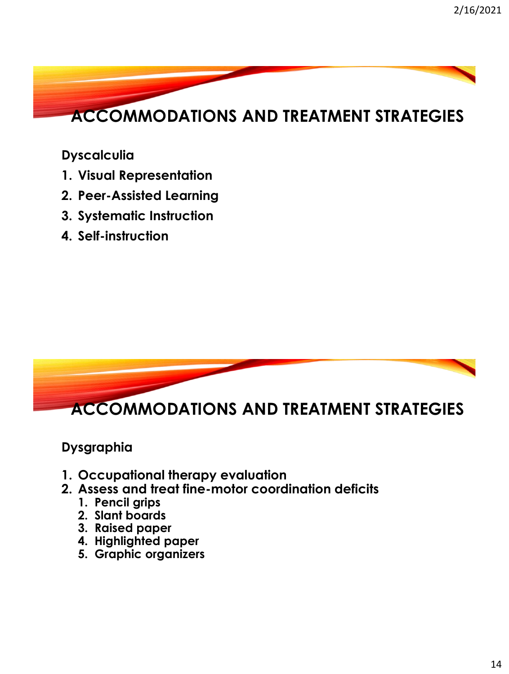

**Dyscalculia**

- **1. Visual Representation**
- **2. Peer-Assisted Learning**
- **3. Systematic Instruction**
- **4. Self-instruction**



**Dysgraphia**

- **1. Occupational therapy evaluation**
- **2. Assess and treat fine-motor coordination deficits**
	- **1. Pencil grips**
	- **2. Slant boards**
	- **3. Raised paper**
	- **4. Highlighted paper**
	- **5. Graphic organizers**